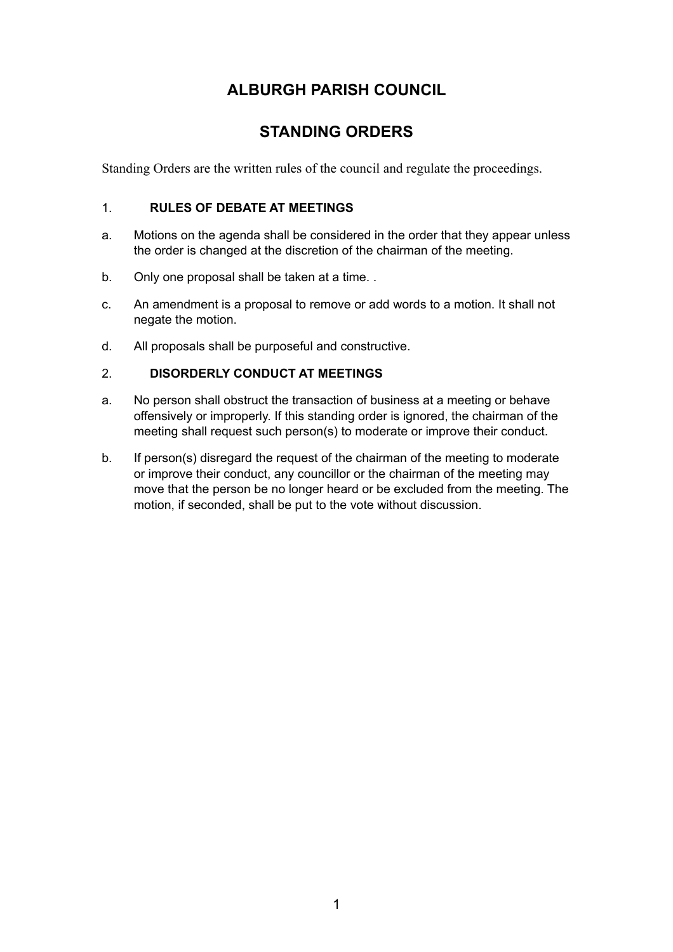# **ALBURGH PARISH COUNCIL**

# **STANDING ORDERS**

Standing Orders are the written rules of the council and regulate the proceedings.

# 1. **RULES OF DEBATE AT MEETINGS**

- a. Motions on the agenda shall be considered in the order that they appear unless the order is changed at the discretion of the chairman of the meeting.
- b. Only one proposal shall be taken at a time..
- c. An amendment is a proposal to remove or add words to a motion. It shall not negate the motion.
- d. All proposals shall be purposeful and constructive.

# 2. **DISORDERLY CONDUCT AT MEETINGS**

- a. No person shall obstruct the transaction of business at a meeting or behave offensively or improperly. If this standing order is ignored, the chairman of the meeting shall request such person(s) to moderate or improve their conduct.
- b. If person(s) disregard the request of the chairman of the meeting to moderate or improve their conduct, any councillor or the chairman of the meeting may move that the person be no longer heard or be excluded from the meeting. The motion, if seconded, shall be put to the vote without discussion.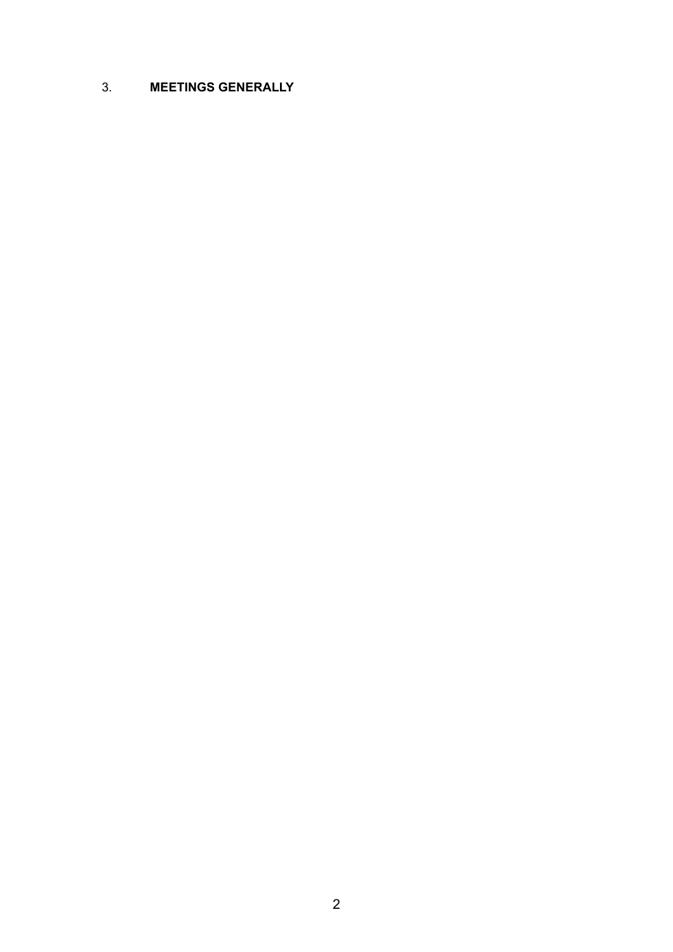# 3. **MEETINGS GENERALLY**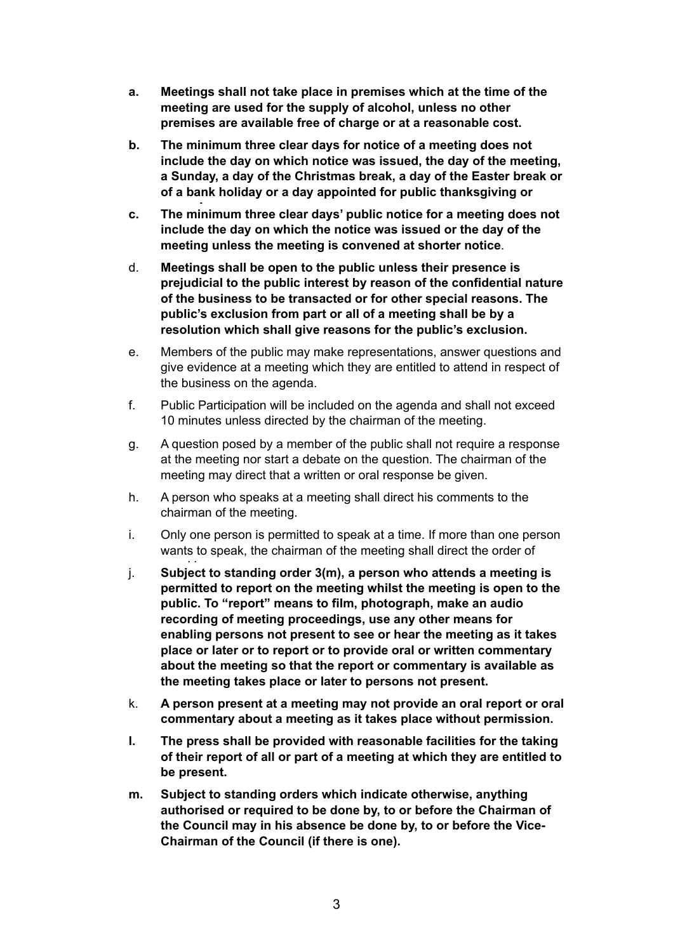- **a. Meetings shall not take place in premises which at the time of the meeting are used for the supply of alcohol, unless no other premises are available free of charge or at a reasonable cost.**
- **b. The minimum three clear days for notice of a meeting does not include the day on which notice was issued, the day of the meeting, a Sunday, a day of the Christmas break, a day of the Easter break or of a bank holiday or a day appointed for public thanksgiving or**
- **mourning. c. The minimum three clear days' public notice for a meeting does not include the day on which the notice was issued or the day of the meeting unless the meeting is convened at shorter notice**.
- d. **Meetings shall be open to the public unless their presence is prejudicial to the public interest by reason of the confidential nature of the business to be transacted or for other special reasons. The public's exclusion from part or all of a meeting shall be by a resolution which shall give reasons for the public's exclusion.**
- e. Members of the public may make representations, answer questions and give evidence at a meeting which they are entitled to attend in respect of the business on the agenda.
- f. Public Participation will be included on the agenda and shall not exceed 10 minutes unless directed by the chairman of the meeting.
- g. A question posed by a member of the public shall not require a response at the meeting nor start a debate on the question. The chairman of the meeting may direct that a written or oral response be given.
- h. A person who speaks at a meeting shall direct his comments to the chairman of the meeting.
- i. Only one person is permitted to speak at a time. If more than one person wants to speak, the chairman of the meeting shall direct the order of
- j. Subject to standing order 3(m), a person who attends a meeting is **permitted to report on the meeting whilst the meeting is open to the public. To "report" means to film, photograph, make an audio recording of meeting proceedings, use any other means for enabling persons not present to see or hear the meeting as it takes place or later or to report or to provide oral or written commentary about the meeting so that the report or commentary is available as the meeting takes place or later to persons not present.**
- k. **A person present at a meeting may not provide an oral report or oral commentary about a meeting as it takes place without permission.**
- **l. The press shall be provided with reasonable facilities for the taking of their report of all or part of a meeting at which they are entitled to be present.**
- **m. Subject to standing orders which indicate otherwise, anything authorised or required to be done by, to or before the Chairman of the Council may in his absence be done by, to or before the Vice-Chairman of the Council (if there is one).**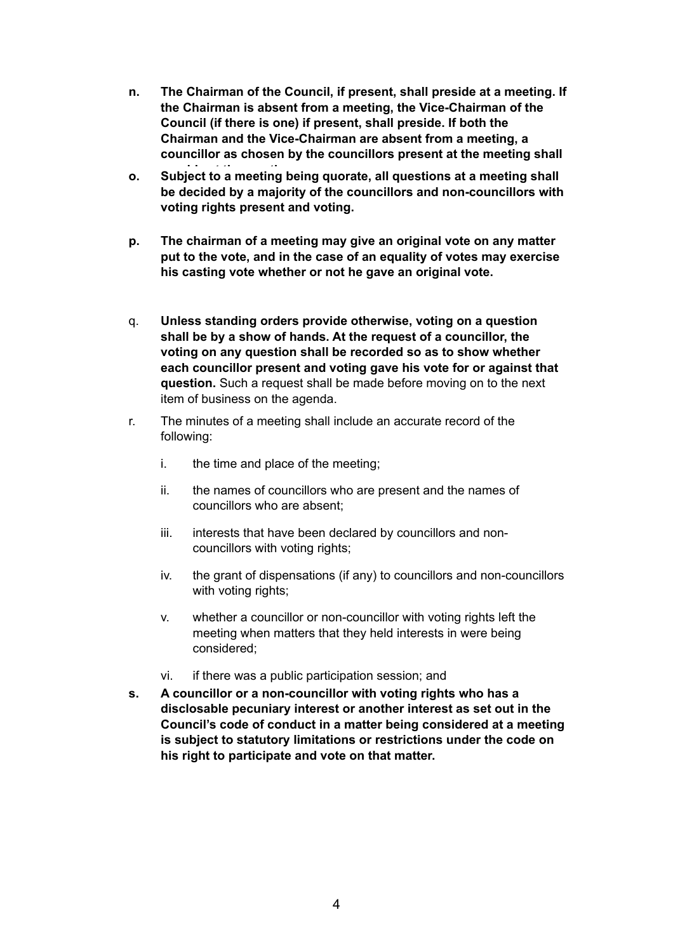- **n. The Chairman of the Council, if present, shall preside at a meeting. If the Chairman is absent from a meeting, the Vice-Chairman of the Council (if there is one) if present, shall preside. If both the Chairman and the Vice-Chairman are absent from a meeting, a councillor as chosen by the councillors present at the meeting shall**
- **preside at the meeting. o. Subject to a meeting being quorate, all questions at a meeting shall be decided by a majority of the councillors and non-councillors with voting rights present and voting.**
- **p. The chairman of a meeting may give an original vote on any matter put to the vote, and in the case of an equality of votes may exercise his casting vote whether or not he gave an original vote.**
- q. **Unless standing orders provide otherwise, voting on a question shall be by a show of hands. At the request of a councillor, the voting on any question shall be recorded so as to show whether each councillor present and voting gave his vote for or against that question.** Such a request shall be made before moving on to the next item of business on the agenda.
- r. The minutes of a meeting shall include an accurate record of the following:
	- i. the time and place of the meeting;
	- ii. the names of councillors who are present and the names of councillors who are absent;
	- iii. interests that have been declared by councillors and noncouncillors with voting rights;
	- iv. the grant of dispensations (if any) to councillors and non-councillors with voting rights;
	- v. whether a councillor or non-councillor with voting rights left the meeting when matters that they held interests in were being considered;
	- vi. if there was a public participation session; and
- **s. A councillor or a non-councillor with voting rights who has a disclosable pecuniary interest or another interest as set out in the Council's code of conduct in a matter being considered at a meeting is subject to statutory limitations or restrictions under the code on his right to participate and vote on that matter.**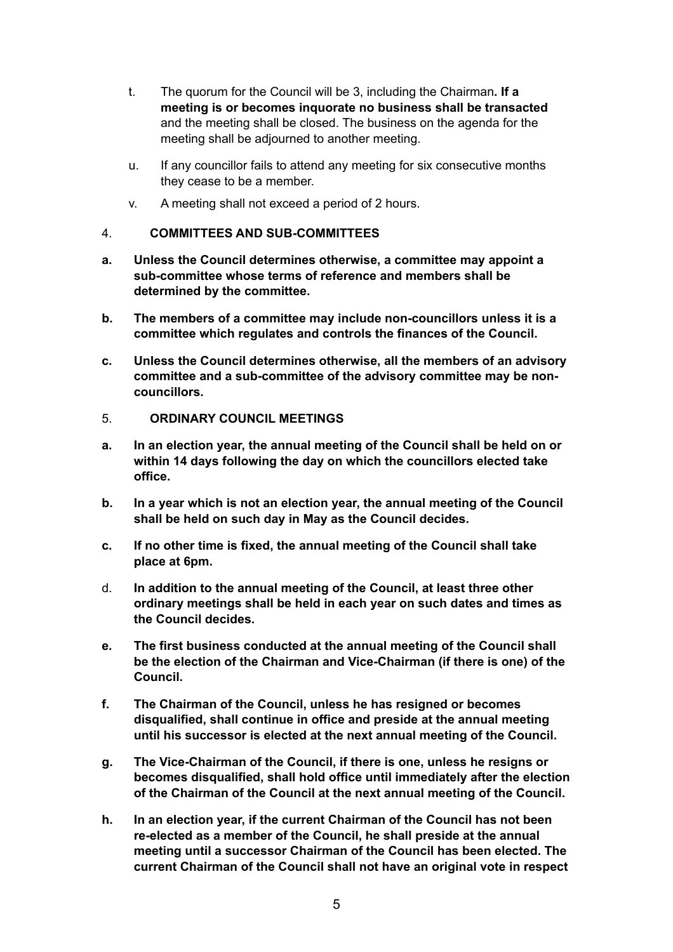- t. The quorum for the Council will be 3, including the Chairman**. If a meeting is or becomes inquorate no business shall be transacted** and the meeting shall be closed. The business on the agenda for the meeting shall be adjourned to another meeting.
- u. If any councillor fails to attend any meeting for six consecutive months they cease to be a member.
- v. A meeting shall not exceed a period of 2 hours.

#### 4. **COMMITTEES AND SUB-COMMITTEES**

- **a. Unless the Council determines otherwise, a committee may appoint a sub-committee whose terms of reference and members shall be determined by the committee.**
- **b. The members of a committee may include non-councillors unless it is a committee which regulates and controls the finances of the Council.**
- **c. Unless the Council determines otherwise, all the members of an advisory committee and a sub-committee of the advisory committee may be noncouncillors.**
- 5. **ORDINARY COUNCIL MEETINGS**
- **a. In an election year, the annual meeting of the Council shall be held on or within 14 days following the day on which the councillors elected take office.**
- **b. In a year which is not an election year, the annual meeting of the Council shall be held on such day in May as the Council decides.**
- **c. If no other time is fixed, the annual meeting of the Council shall take place at 6pm.**
- d. **In addition to the annual meeting of the Council, at least three other ordinary meetings shall be held in each year on such dates and times as the Council decides.**
- **e. The first business conducted at the annual meeting of the Council shall be the election of the Chairman and Vice-Chairman (if there is one) of the Council.**
- **f. The Chairman of the Council, unless he has resigned or becomes disqualified, shall continue in office and preside at the annual meeting until his successor is elected at the next annual meeting of the Council.**
- **g. The Vice-Chairman of the Council, if there is one, unless he resigns or becomes disqualified, shall hold office until immediately after the election of the Chairman of the Council at the next annual meeting of the Council.**
- **h. In an election year, if the current Chairman of the Council has not been re-elected as a member of the Council, he shall preside at the annual meeting until a successor Chairman of the Council has been elected. The current Chairman of the Council shall not have an original vote in respect**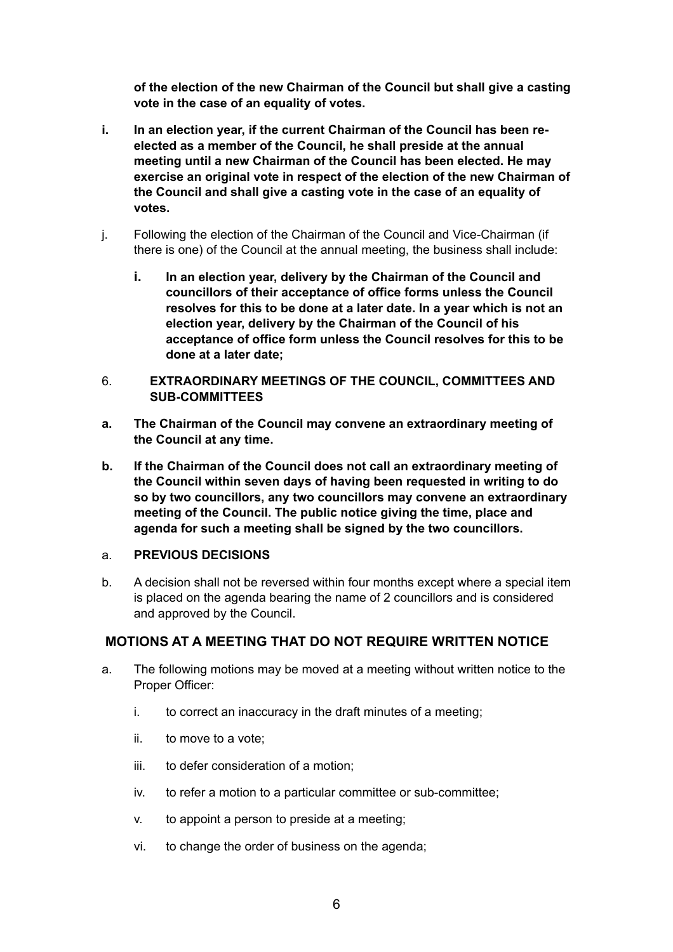**of the election of the new Chairman of the Council but shall give a casting vote in the case of an equality of votes.**

- **i. In an election year, if the current Chairman of the Council has been reelected as a member of the Council, he shall preside at the annual meeting until a new Chairman of the Council has been elected. He may exercise an original vote in respect of the election of the new Chairman of the Council and shall give a casting vote in the case of an equality of votes.**
- j. Following the election of the Chairman of the Council and Vice-Chairman (if there is one) of the Council at the annual meeting, the business shall include:
	- **i. In an election year, delivery by the Chairman of the Council and councillors of their acceptance of office forms unless the Council resolves for this to be done at a later date. In a year which is not an election year, delivery by the Chairman of the Council of his acceptance of office form unless the Council resolves for this to be done at a later date;**
- 6. **EXTRAORDINARY MEETINGS OF THE COUNCIL, COMMITTEES AND SUB-COMMITTEES**
- **a. The Chairman of the Council may convene an extraordinary meeting of the Council at any time.**
- **b. If the Chairman of the Council does not call an extraordinary meeting of the Council within seven days of having been requested in writing to do so by two councillors, any two councillors may convene an extraordinary meeting of the Council. The public notice giving the time, place and agenda for such a meeting shall be signed by the two councillors.**

#### a. **PREVIOUS DECISIONS**

b. A decision shall not be reversed within four months except where a special item is placed on the agenda bearing the name of 2 councillors and is considered and approved by the Council.

# **MOTIONS AT A MEETING THAT DO NOT REQUIRE WRITTEN NOTICE**

- a. The following motions may be moved at a meeting without written notice to the Proper Officer:
	- i. to correct an inaccuracy in the draft minutes of a meeting;
	- ii. to move to a vote;
	- iii. to defer consideration of a motion;
	- iv. to refer a motion to a particular committee or sub-committee;
	- v. to appoint a person to preside at a meeting;
	- vi. to change the order of business on the agenda;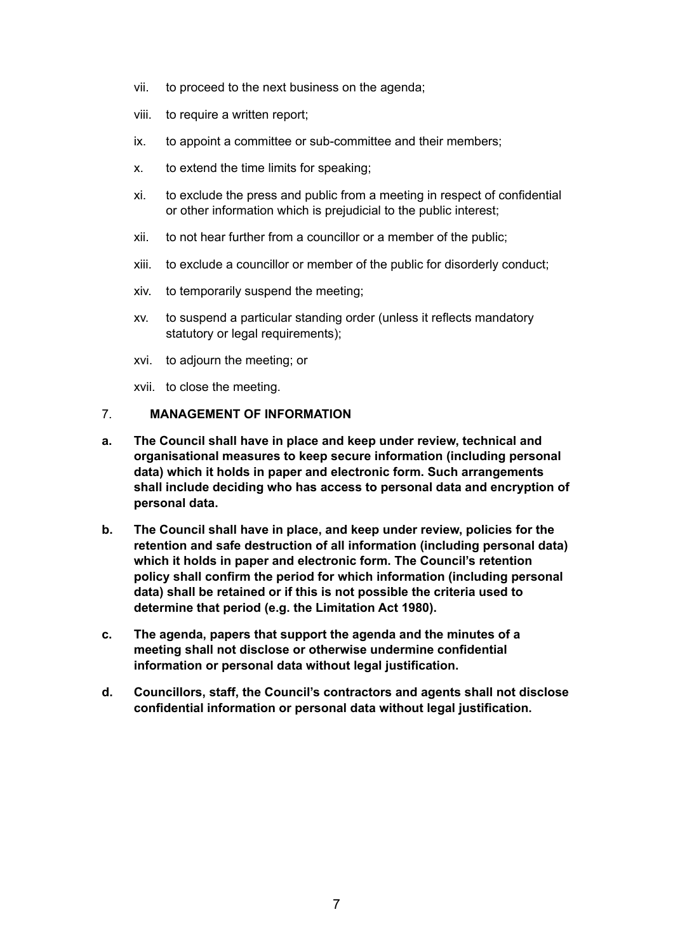- vii. to proceed to the next business on the agenda;
- viii. to require a written report;
- ix. to appoint a committee or sub-committee and their members;
- x. to extend the time limits for speaking;
- xi. to exclude the press and public from a meeting in respect of confidential or other information which is prejudicial to the public interest;
- xii. to not hear further from a councillor or a member of the public;
- xiii. to exclude a councillor or member of the public for disorderly conduct;
- xiv. to temporarily suspend the meeting;
- xv. to suspend a particular standing order (unless it reflects mandatory statutory or legal requirements):
- xvi. to adjourn the meeting; or
- xvii. to close the meeting.

#### 7. **MANAGEMENT OF INFORMATION**

- **a. The Council shall have in place and keep under review, technical and organisational measures to keep secure information (including personal data) which it holds in paper and electronic form. Such arrangements shall include deciding who has access to personal data and encryption of personal data.**
- **b. The Council shall have in place, and keep under review, policies for the retention and safe destruction of all information (including personal data) which it holds in paper and electronic form. The Council's retention policy shall confirm the period for which information (including personal data) shall be retained or if this is not possible the criteria used to determine that period (e.g. the Limitation Act 1980).**
- **c. The agenda, papers that support the agenda and the minutes of a meeting shall not disclose or otherwise undermine confidential information or personal data without legal justification.**
- **d. Councillors, staff, the Council's contractors and agents shall not disclose confidential information or personal data without legal justification.**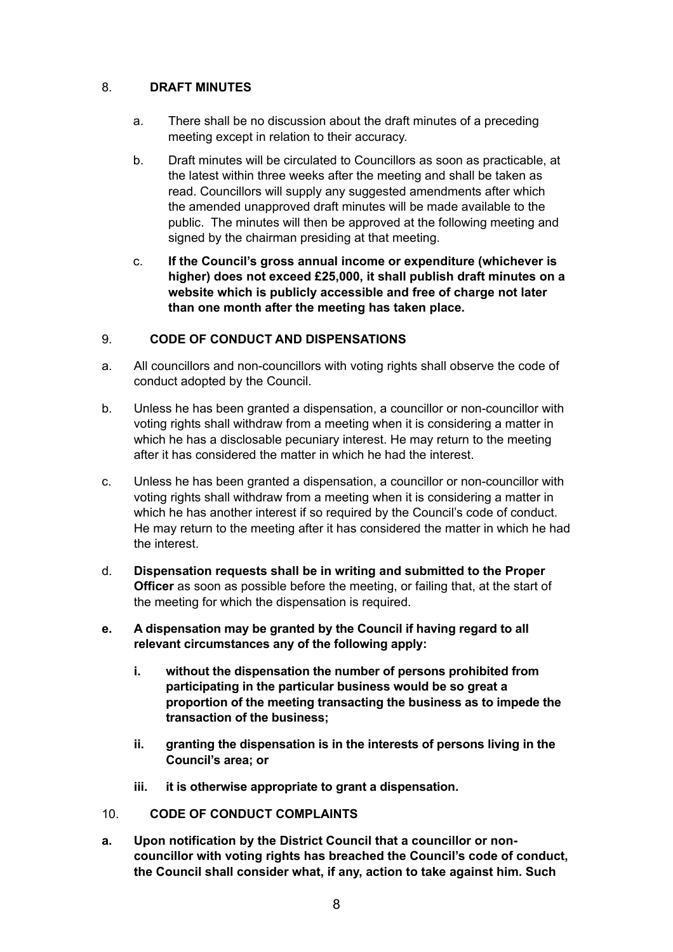# 8. **DRAFT MINUTES**

- a. There shall be no discussion about the draft minutes of a preceding meeting except in relation to their accuracy.
- b. Draft minutes will be circulated to Councillors as soon as practicable, at the latest within three weeks after the meeting and shall be taken as read. Councillors will supply any suggested amendments after which the amended unapproved draft minutes will be made available to the public. The minutes will then be approved at the following meeting and signed by the chairman presiding at that meeting.
- c. **If the Council's gross annual income or expenditure (whichever is higher) does not exceed £25,000, it shall publish draft minutes on a website which is publicly accessible and free of charge not later than one month after the meeting has taken place.**

### 9. **CODE OF CONDUCT AND DISPENSATIONS**

- a. All councillors and non-councillors with voting rights shall observe the code of conduct adopted by the Council.
- b. Unless he has been granted a dispensation, a councillor or non-councillor with voting rights shall withdraw from a meeting when it is considering a matter in which he has a disclosable pecuniary interest. He may return to the meeting after it has considered the matter in which he had the interest.
- c. Unless he has been granted a dispensation, a councillor or non-councillor with voting rights shall withdraw from a meeting when it is considering a matter in which he has another interest if so required by the Council's code of conduct. He may return to the meeting after it has considered the matter in which he had the interest.
- d. **Dispensation requests shall be in writing and submitted to the Proper Officer** as soon as possible before the meeting, or failing that, at the start of the meeting for which the dispensation is required.
- **e. A dispensation may be granted by the Council if having regard to all relevant circumstances any of the following apply:**
	- **i. without the dispensation the number of persons prohibited from participating in the particular business would be so great a proportion of the meeting transacting the business as to impede the transaction of the business;**
	- **ii. granting the dispensation is in the interests of persons living in the Council's area; or**
	- **iii. it is otherwise appropriate to grant a dispensation.**
- 10. **CODE OF CONDUCT COMPLAINTS**
- **a. Upon notification by the District Council that a councillor or noncouncillor with voting rights has breached the Council's code of conduct, the Council shall consider what, if any, action to take against him. Such**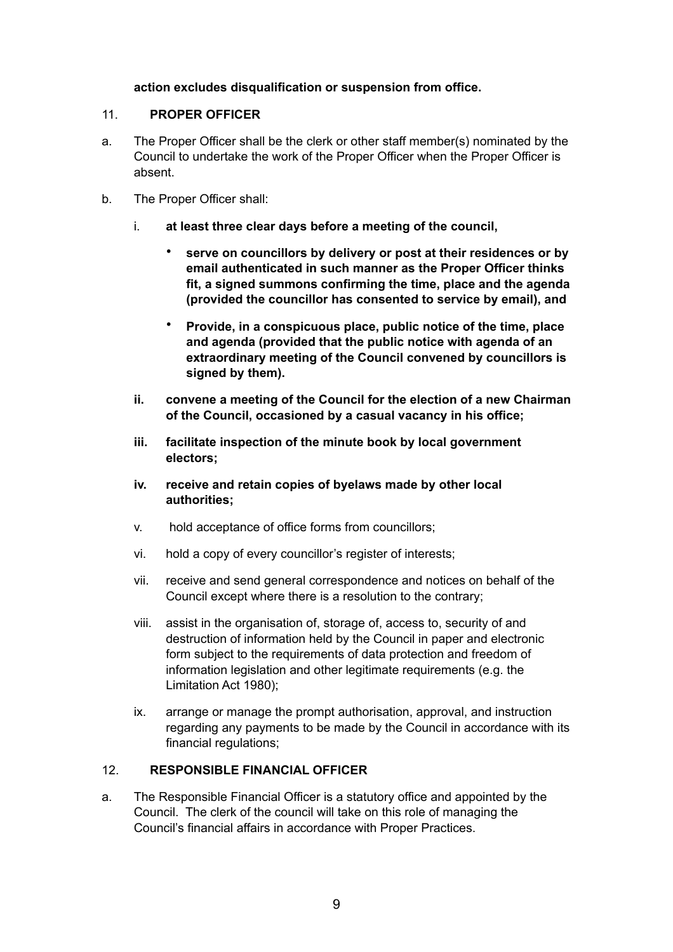#### **action excludes disqualification or suspension from office.**

#### 11. **PROPER OFFICER**

- a. The Proper Officer shall be the clerk or other staff member(s) nominated by the Council to undertake the work of the Proper Officer when the Proper Officer is absent.
- b. The Proper Officer shall:
	- i. **at least three clear days before a meeting of the council,** 
		- **serve on councillors by delivery or post at their residences or by email authenticated in such manner as the Proper Officer thinks fit, a signed summons confirming the time, place and the agenda (provided the councillor has consented to service by email), and**
		- **Provide, in a conspicuous place, public notice of the time, place and agenda (provided that the public notice with agenda of an extraordinary meeting of the Council convened by councillors is signed by them).**
	- **ii. convene a meeting of the Council for the election of a new Chairman of the Council, occasioned by a casual vacancy in his office;**
	- **iii. facilitate inspection of the minute book by local government electors;**
	- **iv. receive and retain copies of byelaws made by other local authorities;**
	- v. hold acceptance of office forms from councillors;
	- vi. hold a copy of every councillor's register of interests;
	- vii. receive and send general correspondence and notices on behalf of the Council except where there is a resolution to the contrary;
	- viii. assist in the organisation of, storage of, access to, security of and destruction of information held by the Council in paper and electronic form subject to the requirements of data protection and freedom of information legislation and other legitimate requirements (e.g. the Limitation Act 1980);
	- ix. arrange or manage the prompt authorisation, approval, and instruction regarding any payments to be made by the Council in accordance with its financial regulations;

# 12. **RESPONSIBLE FINANCIAL OFFICER**

a. The Responsible Financial Officer is a statutory office and appointed by the Council. The clerk of the council will take on this role of managing the Council's financial affairs in accordance with Proper Practices.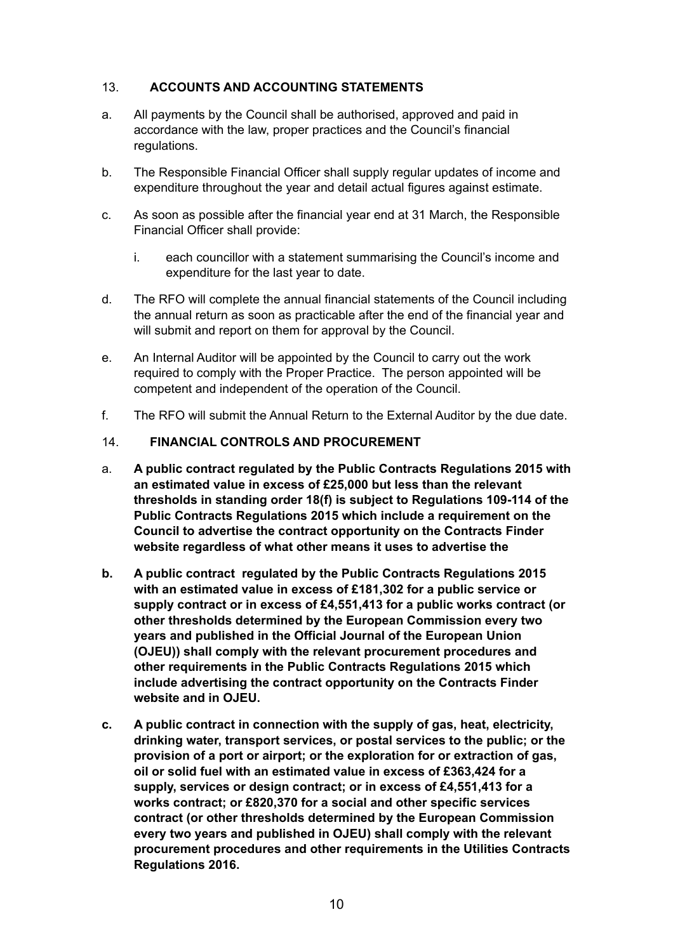# 13. **ACCOUNTS AND ACCOUNTING STATEMENTS**

- a. All payments by the Council shall be authorised, approved and paid in accordance with the law, proper practices and the Council's financial regulations.
- b. The Responsible Financial Officer shall supply regular updates of income and expenditure throughout the year and detail actual figures against estimate.
- c. As soon as possible after the financial year end at 31 March, the Responsible Financial Officer shall provide:
	- i. each councillor with a statement summarising the Council's income and expenditure for the last year to date.
- d. The RFO will complete the annual financial statements of the Council including the annual return as soon as practicable after the end of the financial year and will submit and report on them for approval by the Council.
- e. An Internal Auditor will be appointed by the Council to carry out the work required to comply with the Proper Practice. The person appointed will be competent and independent of the operation of the Council.
- f. The RFO will submit the Annual Return to the External Auditor by the due date.

#### 14. **FINANCIAL CONTROLS AND PROCUREMENT**

- a. **A public contract regulated by the Public Contracts Regulations 2015 with an estimated value in excess of £25,000 but less than the relevant thresholds in standing order 18(f) is subject to Regulations 109-114 of the Public Contracts Regulations 2015 which include a requirement on the Council to advertise the contract opportunity on the Contracts Finder website regardless of what other means it uses to advertise the**
- **b. A public contract regulated by the Public Contracts Regulations 2015 with an estimated value in excess of £181,302 for a public service or supply contract or in excess of £4,551,413 for a public works contract (or other thresholds determined by the European Commission every two years and published in the Official Journal of the European Union (OJEU)) shall comply with the relevant procurement procedures and other requirements in the Public Contracts Regulations 2015 which include advertising the contract opportunity on the Contracts Finder website and in OJEU.**
- **c. A public contract in connection with the supply of gas, heat, electricity, drinking water, transport services, or postal services to the public; or the provision of a port or airport; or the exploration for or extraction of gas, oil or solid fuel with an estimated value in excess of £363,424 for a supply, services or design contract; or in excess of £4,551,413 for a works contract; or £820,370 for a social and other specific services contract (or other thresholds determined by the European Commission every two years and published in OJEU) shall comply with the relevant procurement procedures and other requirements in the Utilities Contracts Regulations 2016.**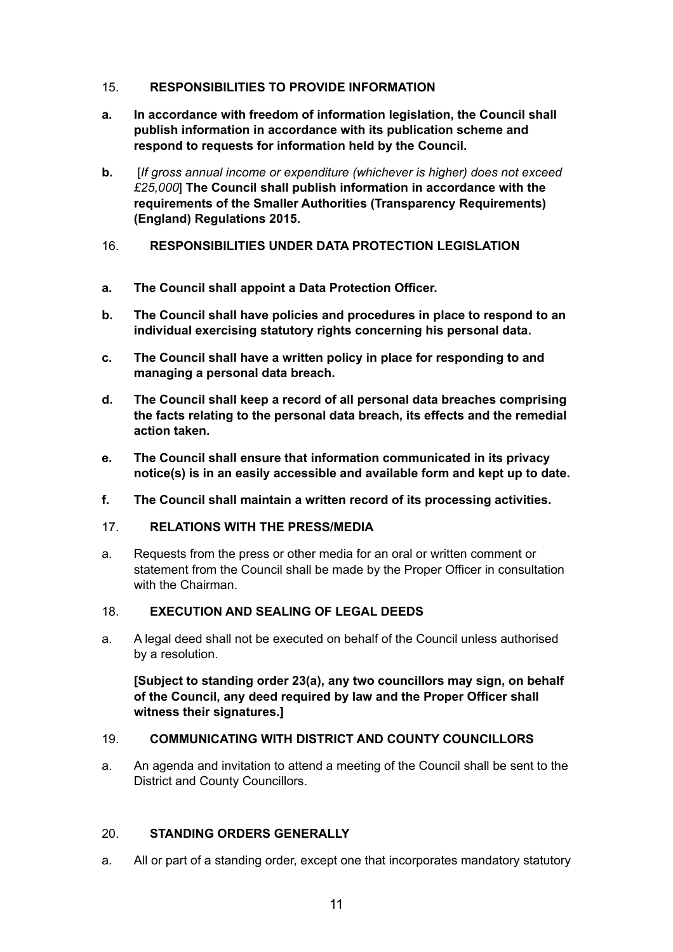# 15. **RESPONSIBILITIES TO PROVIDE INFORMATION**

- **a. In accordance with freedom of information legislation, the Council shall publish information in accordance with its publication scheme and respond to requests for information held by the Council.**
- **b.** [*If gross annual income or expenditure (whichever is higher) does not exceed £25,000*] **The Council shall publish information in accordance with the requirements of the Smaller Authorities (Transparency Requirements) (England) Regulations 2015.**
- 16. **RESPONSIBILITIES UNDER DATA PROTECTION LEGISLATION**
- **a. The Council shall appoint a Data Protection Officer.**
- **b. The Council shall have policies and procedures in place to respond to an individual exercising statutory rights concerning his personal data.**
- **c. The Council shall have a written policy in place for responding to and managing a personal data breach.**
- **d. The Council shall keep a record of all personal data breaches comprising the facts relating to the personal data breach, its effects and the remedial action taken.**
- **e. The Council shall ensure that information communicated in its privacy notice(s) is in an easily accessible and available form and kept up to date.**
- **f. The Council shall maintain a written record of its processing activities.**

#### 17. **RELATIONS WITH THE PRESS/MEDIA**

a. Requests from the press or other media for an oral or written comment or statement from the Council shall be made by the Proper Officer in consultation with the Chairman.

#### 18. **EXECUTION AND SEALING OF LEGAL DEEDS**

a. A legal deed shall not be executed on behalf of the Council unless authorised by a resolution.

**[Subject to standing order 23(a), any two councillors may sign, on behalf of the Council, any deed required by law and the Proper Officer shall witness their signatures.]** 

#### 19. **COMMUNICATING WITH DISTRICT AND COUNTY COUNCILLORS**

a. An agenda and invitation to attend a meeting of the Council shall be sent to the District and County Councillors.

#### 20. **STANDING ORDERS GENERALLY**

a. All or part of a standing order, except one that incorporates mandatory statutory